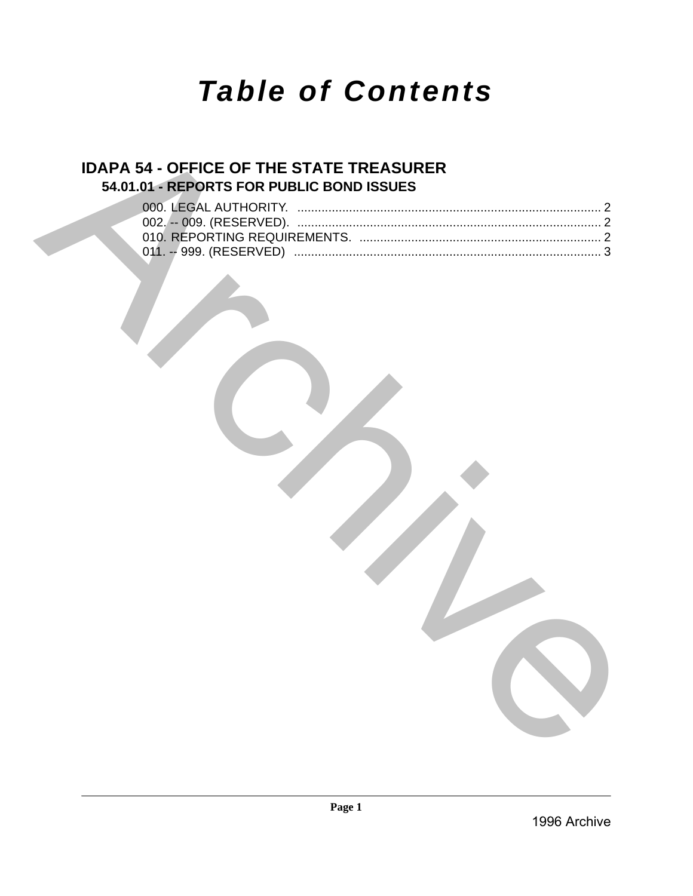# *Table of Contents*

## **IDAPA 54 - OFFICE OF THE STATE TREASURER 54.01.01 - REPORTS FOR PUBLIC BOND ISSUES**

|  | 54.01.01 - REPORTS FOR PUBLIC BOND ISSUES |  |  |
|--|-------------------------------------------|--|--|
|  |                                           |  |  |
|  |                                           |  |  |
|  |                                           |  |  |
|  |                                           |  |  |
|  |                                           |  |  |
|  |                                           |  |  |
|  |                                           |  |  |
|  |                                           |  |  |
|  |                                           |  |  |
|  |                                           |  |  |
|  |                                           |  |  |
|  |                                           |  |  |
|  |                                           |  |  |
|  |                                           |  |  |
|  |                                           |  |  |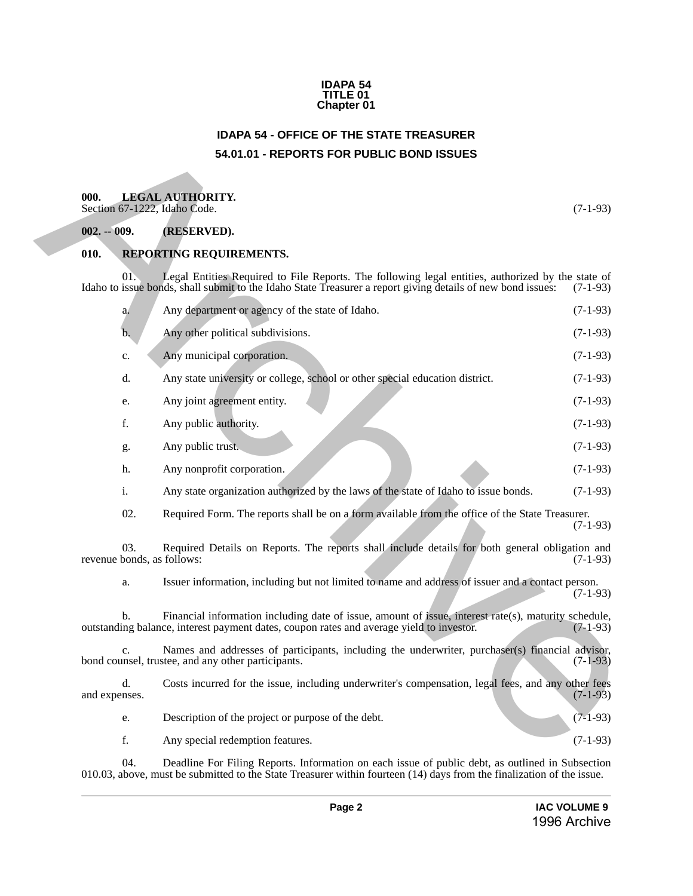#### **IDAPA 54 TITLE 01 Chapter 01**

## **IDAPA 54 - OFFICE OF THE STATE TREASURER 54.01.01 - REPORTS FOR PUBLIC BOND ISSUES**

## <span id="page-1-2"></span><span id="page-1-1"></span>**000. LEGAL AUTHORITY.**

### <span id="page-1-3"></span>**002. -- 009. (RESERVED).**

### <span id="page-1-4"></span>**010. REPORTING REQUIREMENTS.**

<span id="page-1-0"></span>

|                                   | <b>IDAPA 54 - OFFICE OF THE STATE TREASURER</b>                                                                                                                                                                  |            |
|-----------------------------------|------------------------------------------------------------------------------------------------------------------------------------------------------------------------------------------------------------------|------------|
|                                   | 54.01.01 - REPORTS FOR PUBLIC BOND ISSUES                                                                                                                                                                        |            |
| 000.                              | <b>LEGAL AUTHORITY.</b><br>Section 67-1222, Idaho Code.                                                                                                                                                          | $(7-1-93)$ |
| $002. - 009.$                     | (RESERVED).                                                                                                                                                                                                      |            |
| 010.                              | REPORTING REQUIREMENTS.                                                                                                                                                                                          |            |
| 01.                               | Legal Entities Required to File Reports. The following legal entities, authorized by the state of<br>Idaho to issue bonds, shall submit to the Idaho State Treasurer a report giving details of new bond issues: | $(7-1-93)$ |
| a.                                | Any department or agency of the state of Idaho.                                                                                                                                                                  | $(7-1-93)$ |
| b.                                | Any other political subdivisions.                                                                                                                                                                                | $(7-1-93)$ |
| c.                                | Any municipal corporation.                                                                                                                                                                                       | $(7-1-93)$ |
| d.                                | Any state university or college, school or other special education district.                                                                                                                                     | $(7-1-93)$ |
| e.                                | Any joint agreement entity.                                                                                                                                                                                      | $(7-1-93)$ |
| f.                                | Any public authority.                                                                                                                                                                                            | $(7-1-93)$ |
| g.                                | Any public trust.                                                                                                                                                                                                | $(7-1-93)$ |
| h.                                | Any nonprofit corporation.                                                                                                                                                                                       | $(7-1-93)$ |
| i.                                | Any state organization authorized by the laws of the state of Idaho to issue bonds.                                                                                                                              | $(7-1-93)$ |
| 02.                               | Required Form. The reports shall be on a form available from the office of the State Treasurer.                                                                                                                  | $(7-1-93)$ |
| 03.<br>revenue bonds, as follows: | Required Details on Reports. The reports shall include details for both general obligation and                                                                                                                   | $(7-1-93)$ |
| a.                                | Issuer information, including but not limited to name and address of issuer and a contact person.                                                                                                                | $(7-1-93)$ |
| b.                                | Financial information including date of issue, amount of issue, interest rate(s), maturity schedule,<br>outstanding balance, interest payment dates, coupon rates and average yield to investor.                 | $(7-1-93)$ |
| $C_{\bullet}$                     | Names and addresses of participants, including the underwriter, purchaser(s) financial advisor,<br>bond counsel, trustee, and any other participants.                                                            | $(7-1-93)$ |
| d.<br>and expenses.               | Costs incurred for the issue, including underwriter's compensation, legal fees, and any other fees                                                                                                               | $(7-1-93)$ |
| e.                                | Description of the project or purpose of the debt.                                                                                                                                                               | $(7-1-93)$ |
| f.                                | Any special redemption features.                                                                                                                                                                                 | $(7-1-93)$ |

04. Deadline For Filing Reports. Information on each issue of public debt, as outlined in Subsection 010.03, above, must be submitted to the State Treasurer within fourteen (14) days from the finalization of the issue.